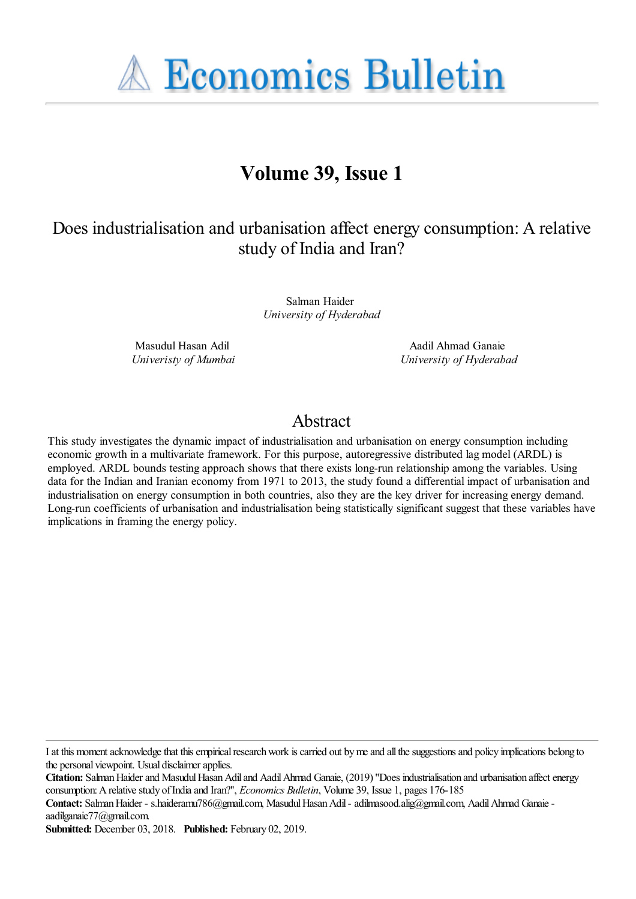**A Economics Bulletin** 

# **Volume 39, Issue 1**

## Does industrialisation and urbanisation affect energy consumption: A relative study of India and Iran?

Salman Haider *University of Hyderabad*

Masudul Hasan Adil *Univeristy of Mumbai*

Aadil Ahmad Ganaie *University of Hyderabad*

## Abstract

This study investigates the dynamic impact of industrialisation and urbanisation on energy consumption including economic growth in a multivariate framework. For this purpose, autoregressive distributed lag model (ARDL) is employed. ARDL bounds testing approach shows that there exists long-run relationship among the variables. Using data for the Indian and Iranian economy from 1971 to 2013, the study found a differential impact of urbanisation and industrialisation on energy consumption in both countries, also they are the key driver for increasing energy demand. Long-run coefficients of urbanisation and industrialisation being statistically significant suggest that these variables have implications in framing the energy policy.

I at this moment acknowledge that this empirical research work is carried out by me and all the suggestions and policy implications belong to the personal viewpoint. Usual disclaimer applies.

**Citation:** Salman Haider and Masudul Hasan Adil and Aadil Ahmad Ganaie, (2019) ''Does industrialisation and urbanisation affect energy consumption: A relative study of India and Iran?'', *Economics Bulletin*, Volume 39, Issue 1, pages 176-185

**Contact:** Salman Haider - s.haideramu786@gmail.com, Masudul Hasan Adil - adilmasood.alig@gmail.com, Aadil Ahmad Ganaie aadilganaie77@gmail.com.

**Submitted:** December 03, 2018. **Published:** February 02, 2019.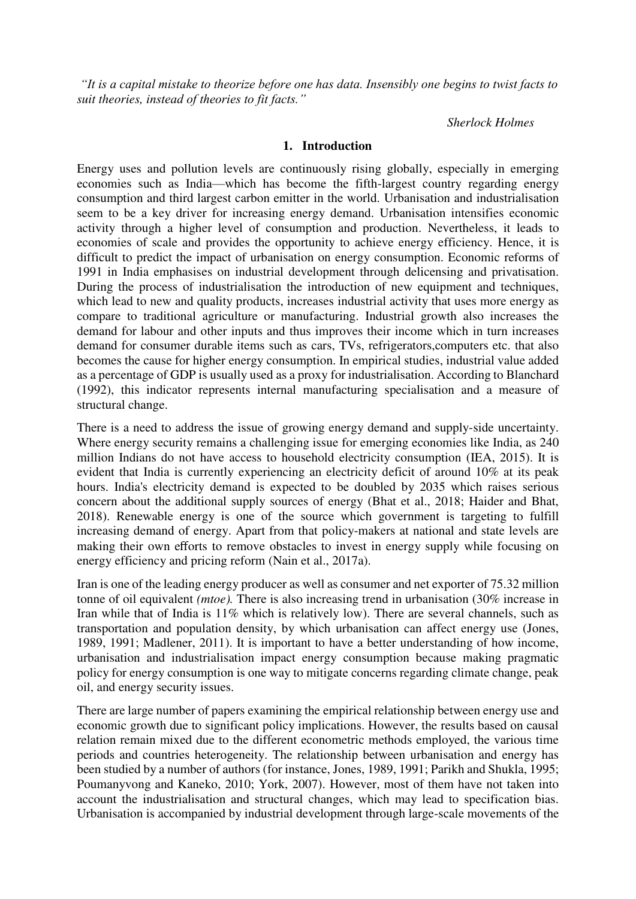*"It is a capital mistake to theorize before one has data. Insensibly one begins to twist facts to suit theories, instead of theories to fit facts."*

#### *Sherlock Holmes*

#### **1. Introduction**

Energy uses and pollution levels are continuously rising globally, especially in emerging economies such as India—which has become the fifth-largest country regarding energy consumption and third largest carbon emitter in the world. Urbanisation and industrialisation seem to be a key driver for increasing energy demand. Urbanisation intensifies economic activity through a higher level of consumption and production. Nevertheless, it leads to economies of scale and provides the opportunity to achieve energy efficiency. Hence, it is difficult to predict the impact of urbanisation on energy consumption. Economic reforms of 1991 in India emphasises on industrial development through delicensing and privatisation. During the process of industrialisation the introduction of new equipment and techniques, which lead to new and quality products, increases industrial activity that uses more energy as compare to traditional agriculture or manufacturing. Industrial growth also increases the demand for labour and other inputs and thus improves their income which in turn increases demand for consumer durable items such as cars, TVs, refrigerators,computers etc. that also becomes the cause for higher energy consumption. In empirical studies, industrial value added as a percentage of GDP is usually used as a proxy for industrialisation. According to Blanchard (1992), this indicator represents internal manufacturing specialisation and a measure of structural change.

There is a need to address the issue of growing energy demand and supply-side uncertainty. Where energy security remains a challenging issue for emerging economies like India, as 240 million Indians do not have access to household electricity consumption (IEA, 2015). It is evident that India is currently experiencing an electricity deficit of around 10% at its peak hours. India's electricity demand is expected to be doubled by 2035 which raises serious concern about the additional supply sources of energy (Bhat et al., 2018; Haider and Bhat, 2018). Renewable energy is one of the source which government is targeting to fulfill increasing demand of energy. Apart from that policy-makers at national and state levels are making their own efforts to remove obstacles to invest in energy supply while focusing on energy efficiency and pricing reform (Nain et al., 2017a).

Iran is one of the leading energy producer as well as consumer and net exporter of 75.32 million tonne of oil equivalent *(mtoe).* There is also increasing trend in urbanisation (30% increase in Iran while that of India is 11% which is relatively low). There are several channels, such as transportation and population density, by which urbanisation can affect energy use (Jones, 1989, 1991; Madlener, 2011). It is important to have a better understanding of how income, urbanisation and industrialisation impact energy consumption because making pragmatic policy for energy consumption is one way to mitigate concerns regarding climate change, peak oil, and energy security issues.

There are large number of papers examining the empirical relationship between energy use and economic growth due to significant policy implications. However, the results based on causal relation remain mixed due to the different econometric methods employed, the various time periods and countries heterogeneity. The relationship between urbanisation and energy has been studied by a number of authors (for instance, Jones, 1989, 1991; Parikh and Shukla, 1995; Poumanyvong and Kaneko, 2010; York, 2007). However, most of them have not taken into account the industrialisation and structural changes, which may lead to specification bias. Urbanisation is accompanied by industrial development through large-scale movements of the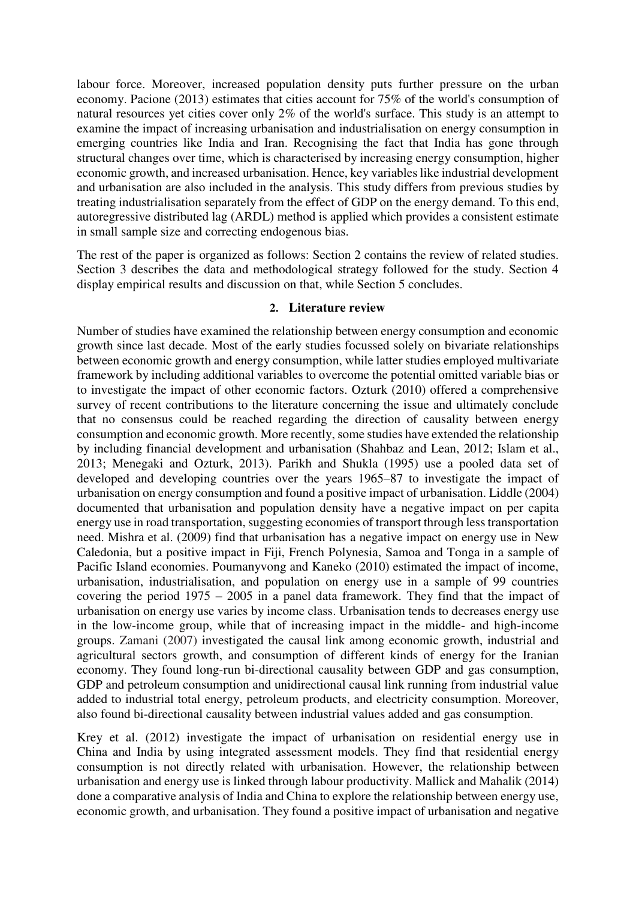labour force. Moreover, increased population density puts further pressure on the urban economy. Pacione (2013) estimates that cities account for 75% of the world's consumption of natural resources yet cities cover only 2% of the world's surface. This study is an attempt to examine the impact of increasing urbanisation and industrialisation on energy consumption in emerging countries like India and Iran. Recognising the fact that India has gone through structural changes over time, which is characterised by increasing energy consumption, higher economic growth, and increased urbanisation. Hence, key variables like industrial development and urbanisation are also included in the analysis. This study differs from previous studies by treating industrialisation separately from the effect of GDP on the energy demand. To this end, autoregressive distributed lag (ARDL) method is applied which provides a consistent estimate in small sample size and correcting endogenous bias.

The rest of the paper is organized as follows: Section 2 contains the review of related studies. Section 3 describes the data and methodological strategy followed for the study. Section 4 display empirical results and discussion on that, while Section 5 concludes.

#### **2. Literature review**

Number of studies have examined the relationship between energy consumption and economic growth since last decade. Most of the early studies focussed solely on bivariate relationships between economic growth and energy consumption, while latter studies employed multivariate framework by including additional variables to overcome the potential omitted variable bias or to investigate the impact of other economic factors. Ozturk (2010) offered a comprehensive survey of recent contributions to the literature concerning the issue and ultimately conclude that no consensus could be reached regarding the direction of causality between energy consumption and economic growth. More recently, some studies have extended the relationship by including financial development and urbanisation (Shahbaz and Lean, 2012; Islam et al., 2013; Menegaki and Ozturk, 2013). Parikh and Shukla (1995) use a pooled data set of developed and developing countries over the years 1965–87 to investigate the impact of urbanisation on energy consumption and found a positive impact of urbanisation. Liddle (2004) documented that urbanisation and population density have a negative impact on per capita energy use in road transportation, suggesting economies of transport through less transportation need. Mishra et al. (2009) find that urbanisation has a negative impact on energy use in New Caledonia, but a positive impact in Fiji, French Polynesia, Samoa and Tonga in a sample of Pacific Island economies. Poumanyvong and Kaneko (2010) estimated the impact of income, urbanisation, industrialisation, and population on energy use in a sample of 99 countries covering the period 1975 – 2005 in a panel data framework. They find that the impact of urbanisation on energy use varies by income class. Urbanisation tends to decreases energy use in the low-income group, while that of increasing impact in the middle- and high-income groups. Zamani (2007) investigated the causal link among economic growth, industrial and agricultural sectors growth, and consumption of different kinds of energy for the Iranian economy. They found long-run bi-directional causality between GDP and gas consumption, GDP and petroleum consumption and unidirectional causal link running from industrial value added to industrial total energy, petroleum products, and electricity consumption. Moreover, also found bi-directional causality between industrial values added and gas consumption.

Krey et al. (2012) investigate the impact of urbanisation on residential energy use in China and India by using integrated assessment models. They find that residential energy consumption is not directly related with urbanisation. However, the relationship between urbanisation and energy use is linked through labour productivity. Mallick and Mahalik (2014) done a comparative analysis of India and China to explore the relationship between energy use, economic growth, and urbanisation. They found a positive impact of urbanisation and negative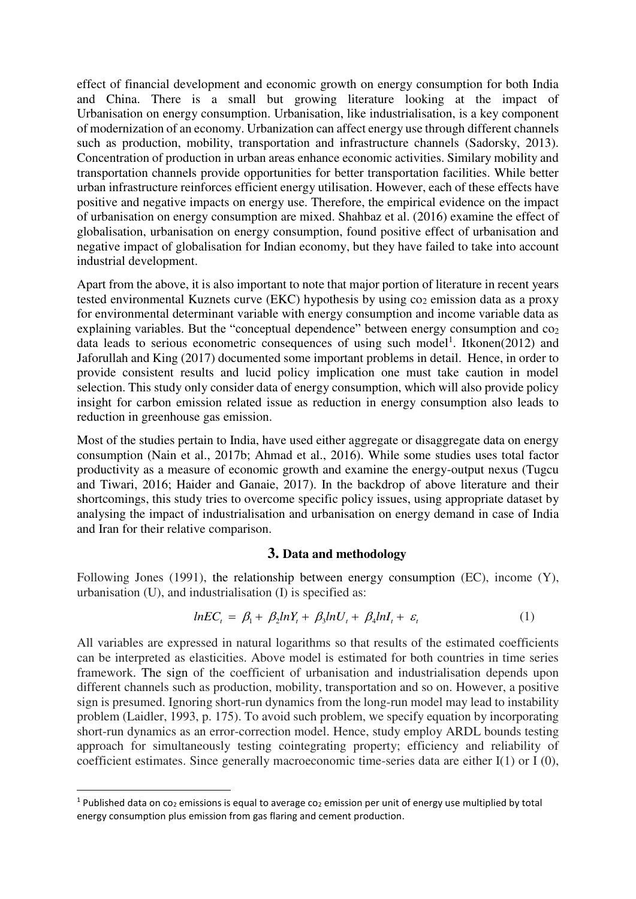effect of financial development and economic growth on energy consumption for both India and China. There is a small but growing literature looking at the impact of Urbanisation on energy consumption. Urbanisation, like industrialisation, is a key component of modernization of an economy. Urbanization can affect energy use through different channels such as production, mobility, transportation and infrastructure channels (Sadorsky, 2013). Concentration of production in urban areas enhance economic activities. Similary mobility and transportation channels provide opportunities for better transportation facilities. While better urban infrastructure reinforces efficient energy utilisation. However, each of these effects have positive and negative impacts on energy use. Therefore, the empirical evidence on the impact of urbanisation on energy consumption are mixed. Shahbaz et al. (2016) examine the effect of globalisation, urbanisation on energy consumption, found positive effect of urbanisation and negative impact of globalisation for Indian economy, but they have failed to take into account industrial development.

Apart from the above, it is also important to note that major portion of literature in recent years tested environmental Kuznets curve (EKC) hypothesis by using co<sub>2</sub> emission data as a proxy for environmental determinant variable with energy consumption and income variable data as explaining variables. But the "conceptual dependence" between energy consumption and  $\cos$ data leads to serious econometric consequences of using such model<sup>1</sup>. Itkonen(2012) and Jaforullah and King (2017) documented some important problems in detail. Hence, in order to provide consistent results and lucid policy implication one must take caution in model selection. This study only consider data of energy consumption, which will also provide policy insight for carbon emission related issue as reduction in energy consumption also leads to reduction in greenhouse gas emission.

Most of the studies pertain to India, have used either aggregate or disaggregate data on energy consumption (Nain et al., 2017b; Ahmad et al., 2016). While some studies uses total factor productivity as a measure of economic growth and examine the energy-output nexus (Tugcu and Tiwari, 2016; Haider and Ganaie, 2017). In the backdrop of above literature and their shortcomings, this study tries to overcome specific policy issues, using appropriate dataset by analysing the impact of industrialisation and urbanisation on energy demand in case of India and Iran for their relative comparison.

#### **3. Data and methodology**

Following Jones (1991), the relationship between energy consumption (EC), income (Y), urbanisation (U), and industrialisation (I) is specified as:

$$
ln EC_{t} = \beta_{1} + \beta_{2}lnY_{t} + \beta_{3}lnU_{t} + \beta_{4}lnI_{t} + \varepsilon_{t}
$$
\n(1)

All variables are expressed in natural logarithms so that results of the estimated coefficients can be interpreted as elasticities. Above model is estimated for both countries in time series framework. The sign of the coefficient of urbanisation and industrialisation depends upon different channels such as production, mobility, transportation and so on. However, a positive sign is presumed. Ignoring short-run dynamics from the long-run model may lead to instability problem (Laidler, 1993, p. 175). To avoid such problem, we specify equation by incorporating short-run dynamics as an error-correction model. Hence, study employ ARDL bounds testing approach for simultaneously testing cointegrating property; efficiency and reliability of coefficient estimates. Since generally macroeconomic time-series data are either I(1) or I (0),

<u>.</u>

<sup>&</sup>lt;sup>1</sup> Published data on co<sub>2</sub> emissions is equal to average co<sub>2</sub> emission per unit of energy use multiplied by total energy consumption plus emission from gas flaring and cement production.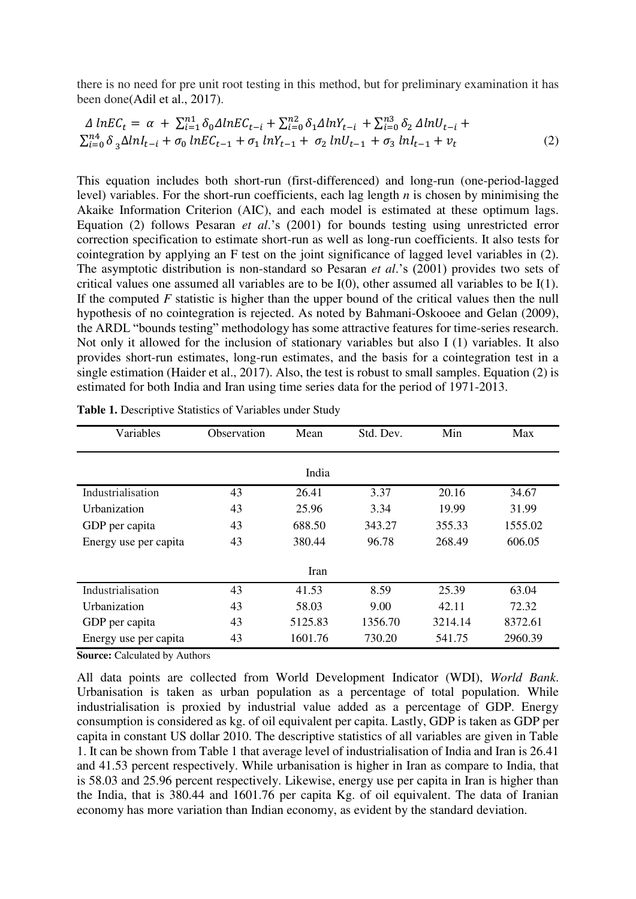there is no need for pre unit root testing in this method, but for preliminary examination it has been done(Adil et al., 2017).

$$
\Delta lnEC_t = \alpha + \sum_{i=1}^{n_1} \delta_0 \Delta lnEC_{t-i} + \sum_{i=0}^{n_2} \delta_1 \Delta lnY_{t-i} + \sum_{i=0}^{n_3} \delta_2 \Delta lnU_{t-i} + \sum_{i=0}^{n_4} \delta_3 \Delta lnI_{t-i} + \sigma_0 lnEC_{t-1} + \sigma_1 lnY_{t-1} + \sigma_2 lnU_{t-1} + \sigma_3 lnI_{t-1} + v_t
$$
\n(2)

This equation includes both short-run (first-differenced) and long-run (one-period-lagged level) variables. For the short-run coefficients, each lag length *n* is chosen by minimising the Akaike Information Criterion (AIC), and each model is estimated at these optimum lags. Equation (2) follows Pesaran *et al*.'s (2001) for bounds testing using unrestricted error correction specification to estimate short-run as well as long-run coefficients. It also tests for cointegration by applying an F test on the joint significance of lagged level variables in (2). The asymptotic distribution is non-standard so Pesaran *et al*.'s (2001) provides two sets of critical values one assumed all variables are to be I(0), other assumed all variables to be I(1). If the computed *F* statistic is higher than the upper bound of the critical values then the null hypothesis of no cointegration is rejected. As noted by Bahmani-Oskooee and Gelan (2009), the ARDL "bounds testing" methodology has some attractive features for time-series research. Not only it allowed for the inclusion of stationary variables but also I (1) variables. It also provides short-run estimates, long-run estimates, and the basis for a cointegration test in a single estimation (Haider et al., 2017). Also, the test is robust to small samples. Equation (2) is estimated for both India and Iran using time series data for the period of 1971-2013.

| Variables             | Observation | Mean    | Std. Dev. | Min     | Max     |  |  |  |
|-----------------------|-------------|---------|-----------|---------|---------|--|--|--|
| India                 |             |         |           |         |         |  |  |  |
| Industrialisation     | 43          | 26.41   | 3.37      | 20.16   | 34.67   |  |  |  |
| Urbanization          | 43          | 25.96   | 3.34      | 19.99   | 31.99   |  |  |  |
| GDP per capita        | 43          | 688.50  | 343.27    | 355.33  | 1555.02 |  |  |  |
| Energy use per capita | 43          | 380.44  | 96.78     | 268.49  | 606.05  |  |  |  |
| Iran                  |             |         |           |         |         |  |  |  |
| Industrialisation     | 43          | 41.53   | 8.59      | 25.39   | 63.04   |  |  |  |
| Urbanization          | 43          | 58.03   | 9.00      | 42.11   | 72.32   |  |  |  |
| GDP per capita        | 43          | 5125.83 | 1356.70   | 3214.14 | 8372.61 |  |  |  |
| Energy use per capita | 43          | 1601.76 | 730.20    | 541.75  | 2960.39 |  |  |  |

**Table 1.** Descriptive Statistics of Variables under Study

**Source:** Calculated by Authors

All data points are collected from World Development Indicator (WDI), *World Bank*. Urbanisation is taken as urban population as a percentage of total population. While industrialisation is proxied by industrial value added as a percentage of GDP. Energy consumption is considered as kg. of oil equivalent per capita. Lastly, GDP is taken as GDP per capita in constant US dollar 2010. The descriptive statistics of all variables are given in Table 1. It can be shown from Table 1 that average level of industrialisation of India and Iran is 26.41 and 41.53 percent respectively. While urbanisation is higher in Iran as compare to India, that is 58.03 and 25.96 percent respectively. Likewise, energy use per capita in Iran is higher than the India, that is 380.44 and 1601.76 per capita Kg. of oil equivalent. The data of Iranian economy has more variation than Indian economy, as evident by the standard deviation.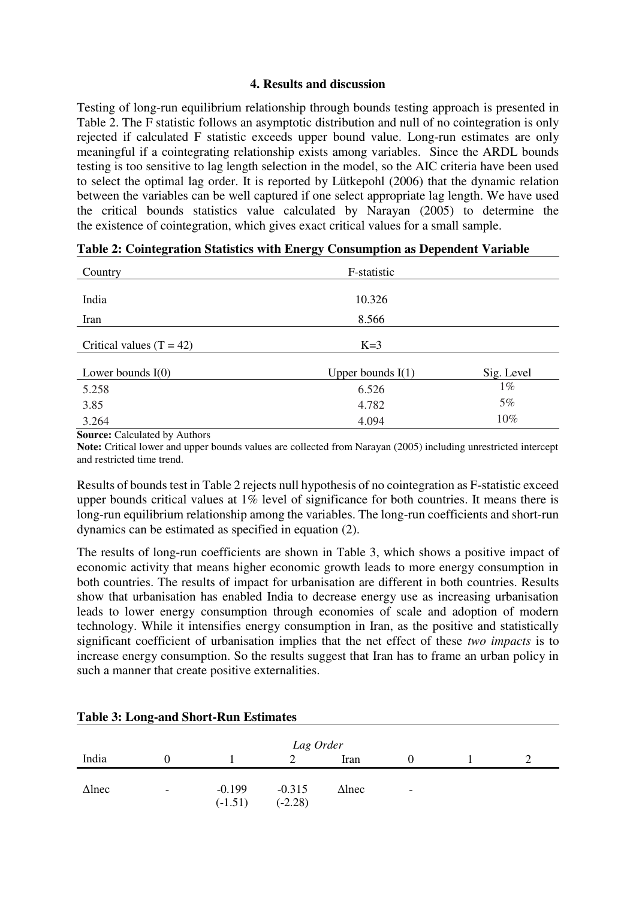#### **4. Results and discussion**

Testing of long-run equilibrium relationship through bounds testing approach is presented in Table 2. The F statistic follows an asymptotic distribution and null of no cointegration is only rejected if calculated F statistic exceeds upper bound value. Long-run estimates are only meaningful if a cointegrating relationship exists among variables. Since the ARDL bounds testing is too sensitive to lag length selection in the model, so the AIC criteria have been used to select the optimal lag order. It is reported by Lütkepohl (2006) that the dynamic relation between the variables can be well captured if one select appropriate lag length. We have used the critical bounds statistics value calculated by Narayan (2005) to determine the the existence of cointegration, which gives exact critical values for a small sample.

| Country                    | F-statistic         |            |  |  |  |
|----------------------------|---------------------|------------|--|--|--|
|                            |                     |            |  |  |  |
| India                      | 10.326              |            |  |  |  |
| Iran                       | 8.566               |            |  |  |  |
| Critical values $(T = 42)$ | $K=3$               |            |  |  |  |
|                            |                     |            |  |  |  |
| Lower bounds $I(0)$        | Upper bounds $I(1)$ | Sig. Level |  |  |  |
| 5.258                      | 6.526               | $1\%$      |  |  |  |
| 3.85                       | 4.782               | 5%         |  |  |  |
| 3.264                      | 4.094               | 10%        |  |  |  |

**Table 2: Cointegration Statistics with Energy Consumption as Dependent Variable** 

**Source: Calculated by Authors** 

**Note:** Critical lower and upper bounds values are collected from Narayan (2005) including unrestricted intercept and restricted time trend.

Results of bounds test in Table 2 rejects null hypothesis of no cointegration as F-statistic exceed upper bounds critical values at 1% level of significance for both countries. It means there is long-run equilibrium relationship among the variables. The long-run coefficients and short-run dynamics can be estimated as specified in equation (2).

The results of long-run coefficients are shown in Table 3, which shows a positive impact of economic activity that means higher economic growth leads to more energy consumption in both countries. The results of impact for urbanisation are different in both countries. Results show that urbanisation has enabled India to decrease energy use as increasing urbanisation leads to lower energy consumption through economies of scale and adoption of modern technology. While it intensifies energy consumption in Iran, as the positive and statistically significant coefficient of urbanisation implies that the net effect of these *two impacts* is to increase energy consumption. So the results suggest that Iran has to frame an urban policy in such a manner that create positive externalities.

|               |                          |                       | Lag Order             |               |                          |  |
|---------------|--------------------------|-----------------------|-----------------------|---------------|--------------------------|--|
| India         |                          |                       |                       | Iran          |                          |  |
| $\Delta$ lnec | $\overline{\phantom{a}}$ | $-0.199$<br>$(-1.51)$ | $-0.315$<br>$(-2.28)$ | $\Delta$ lnec | $\overline{\phantom{a}}$ |  |

#### **Table 3: Long-and Short-Run Estimates**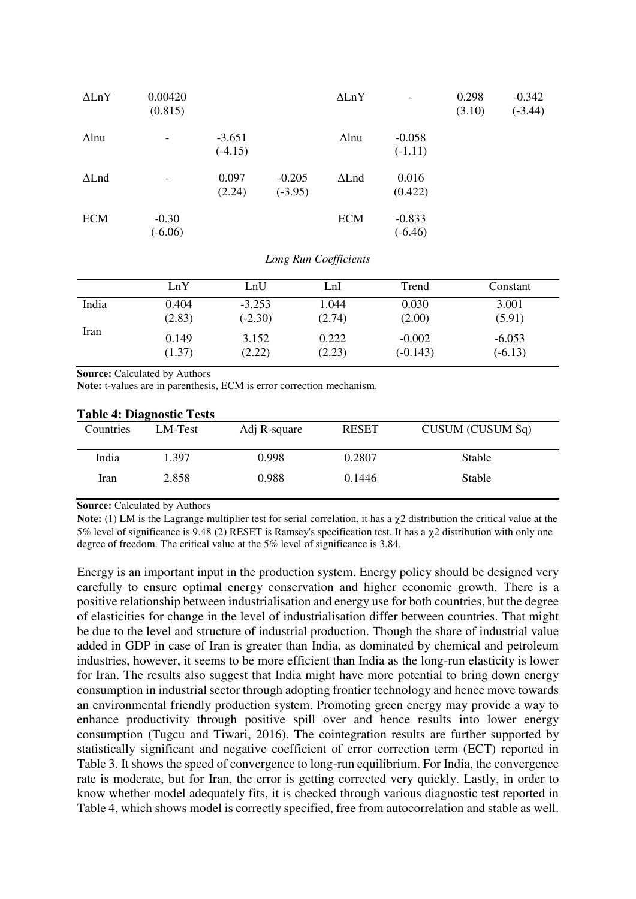| $\Delta \text{LnY}$ | 0.00420<br>(0.815)   |                       |                       | $\Delta \text{LnY}$ | $\qquad \qquad \blacksquare$ | 0.298<br>(3.10) | $-0.342$<br>$(-3.44)$ |
|---------------------|----------------------|-----------------------|-----------------------|---------------------|------------------------------|-----------------|-----------------------|
| $\Delta$ lnu        |                      | $-3.651$<br>$(-4.15)$ |                       | $\Delta$ lnu        | $-0.058$<br>$(-1.11)$        |                 |                       |
| $\Delta$ Lnd        |                      | 0.097<br>(2.24)       | $-0.205$<br>$(-3.95)$ | $\Delta$ Lnd        | 0.016<br>(0.422)             |                 |                       |
| <b>ECM</b>          | $-0.30$<br>$(-6.06)$ |                       |                       | <b>ECM</b>          | $-0.833$<br>$(-6.46)$        |                 |                       |

#### *Long Run Coefficients*

|       | LnY    | LnU       | ∟nI    | Trend      | Constant  |
|-------|--------|-----------|--------|------------|-----------|
| India | 0.404  | $-3.253$  | 1.044  | 0.030      | 3.001     |
|       | (2.83) | $(-2.30)$ | (2.74) | (2.00)     | (5.91)    |
| Iran  | 0.149  | 3.152     | 0.222  | $-0.002$   | $-6.053$  |
|       | (1.37) | (2.22)    | (2.23) | $(-0.143)$ | $(-6.13)$ |

**Source:** Calculated by Authors

**Note:** t-values are in parenthesis, ECM is error correction mechanism.

| Table 4: Diagnostic Tests |         |              |              |                  |  |  |  |
|---------------------------|---------|--------------|--------------|------------------|--|--|--|
| Countries                 | LM-Test | Adj R-square | <b>RESET</b> | CUSUM (CUSUM Sq) |  |  |  |
| India                     | 1.397   | 0.998        | 0.2807       | <b>Stable</b>    |  |  |  |
| Iran                      | 2.858   | 0.988        | 0.1446       | <b>Stable</b>    |  |  |  |

## **Table 4: Diagnostic Tests**

**Source: Calculated by Authors** 

**Note:** (1) LM is the Lagrange multiplier test for serial correlation, it has a  $\gamma$ 2 distribution the critical value at the 5% level of significance is 9.48 (2) RESET is Ramsey's specification test. It has a  $\chi$ 2 distribution with only one degree of freedom. The critical value at the 5% level of significance is 3.84.

Energy is an important input in the production system. Energy policy should be designed very carefully to ensure optimal energy conservation and higher economic growth. There is a positive relationship between industrialisation and energy use for both countries, but the degree of elasticities for change in the level of industrialisation differ between countries. That might be due to the level and structure of industrial production. Though the share of industrial value added in GDP in case of Iran is greater than India, as dominated by chemical and petroleum industries, however, it seems to be more efficient than India as the long-run elasticity is lower for Iran. The results also suggest that India might have more potential to bring down energy consumption in industrial sector through adopting frontier technology and hence move towards an environmental friendly production system. Promoting green energy may provide a way to enhance productivity through positive spill over and hence results into lower energy consumption (Tugcu and Tiwari, 2016). The cointegration results are further supported by statistically significant and negative coefficient of error correction term (ECT) reported in Table 3. It shows the speed of convergence to long-run equilibrium. For India, the convergence rate is moderate, but for Iran, the error is getting corrected very quickly. Lastly, in order to know whether model adequately fits, it is checked through various diagnostic test reported in Table 4, which shows model is correctly specified, free from autocorrelation and stable as well.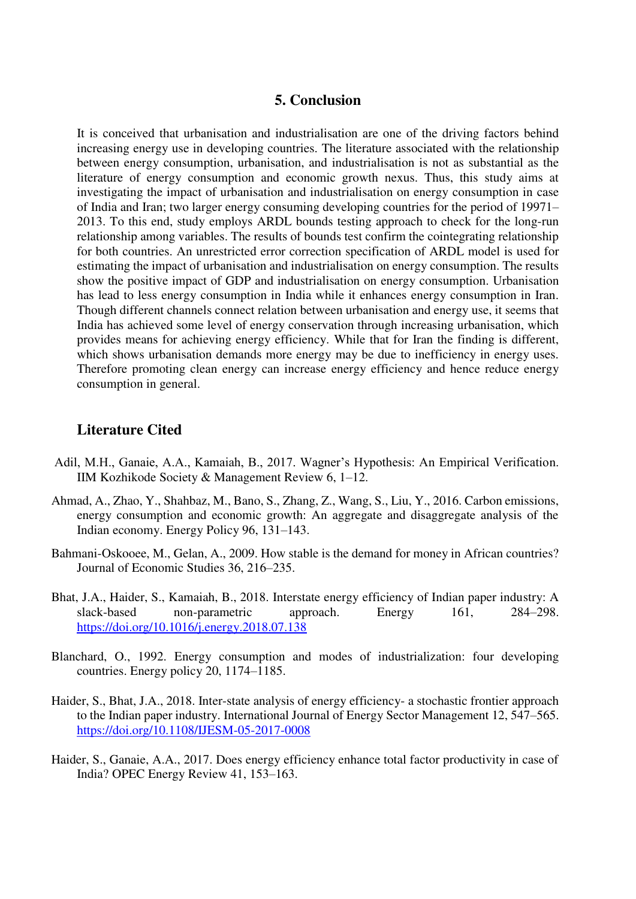### **5. Conclusion**

It is conceived that urbanisation and industrialisation are one of the driving factors behind increasing energy use in developing countries. The literature associated with the relationship between energy consumption, urbanisation, and industrialisation is not as substantial as the literature of energy consumption and economic growth nexus. Thus, this study aims at investigating the impact of urbanisation and industrialisation on energy consumption in case of India and Iran; two larger energy consuming developing countries for the period of 19971– 2013. To this end, study employs ARDL bounds testing approach to check for the long-run relationship among variables. The results of bounds test confirm the cointegrating relationship for both countries. An unrestricted error correction specification of ARDL model is used for estimating the impact of urbanisation and industrialisation on energy consumption. The results show the positive impact of GDP and industrialisation on energy consumption. Urbanisation has lead to less energy consumption in India while it enhances energy consumption in Iran. Though different channels connect relation between urbanisation and energy use, it seems that India has achieved some level of energy conservation through increasing urbanisation, which provides means for achieving energy efficiency. While that for Iran the finding is different, which shows urbanisation demands more energy may be due to inefficiency in energy uses. Therefore promoting clean energy can increase energy efficiency and hence reduce energy consumption in general.

### **Literature Cited**

- Adil, M.H., Ganaie, A.A., Kamaiah, B., 2017. Wagner's Hypothesis: An Empirical Verification. IIM Kozhikode Society & Management Review 6, 1–12.
- Ahmad, A., Zhao, Y., Shahbaz, M., Bano, S., Zhang, Z., Wang, S., Liu, Y., 2016. Carbon emissions, energy consumption and economic growth: An aggregate and disaggregate analysis of the Indian economy. Energy Policy 96, 131–143.
- Bahmani-Oskooee, M., Gelan, A., 2009. How stable is the demand for money in African countries? Journal of Economic Studies 36, 216–235.
- Bhat, J.A., Haider, S., Kamaiah, B., 2018. Interstate energy efficiency of Indian paper industry: A slack-based non-parametric approach. Energy 161, 284–298. <https://doi.org/10.1016/j.energy.2018.07.138>
- Blanchard, O., 1992. Energy consumption and modes of industrialization: four developing countries. Energy policy 20, 1174–1185.
- Haider, S., Bhat, J.A., 2018. Inter-state analysis of energy efficiency- a stochastic frontier approach to the Indian paper industry. International Journal of Energy Sector Management 12, 547–565. <https://doi.org/10.1108/IJESM-05-2017-0008>
- Haider, S., Ganaie, A.A., 2017. Does energy efficiency enhance total factor productivity in case of India? OPEC Energy Review 41, 153–163.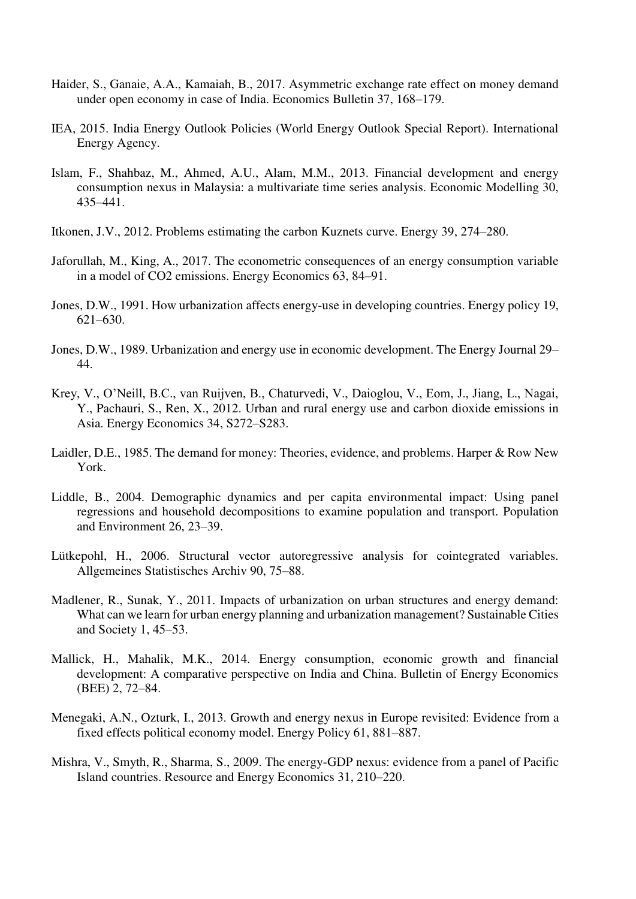- Haider, S., Ganaie, A.A., Kamaiah, B., 2017. Asymmetric exchange rate effect on money demand under open economy in case of India. Economics Bulletin 37, 168–179.
- IEA, 2015. India Energy Outlook Policies (World Energy Outlook Special Report). International Energy Agency.
- Islam, F., Shahbaz, M., Ahmed, A.U., Alam, M.M., 2013. Financial development and energy consumption nexus in Malaysia: a multivariate time series analysis. Economic Modelling 30, 435–441.
- Itkonen, J.V., 2012. Problems estimating the carbon Kuznets curve. Energy 39, 274–280.
- Jaforullah, M., King, A., 2017. The econometric consequences of an energy consumption variable in a model of CO2 emissions. Energy Economics 63, 84–91.
- Jones, D.W., 1991. How urbanization affects energy-use in developing countries. Energy policy 19, 621–630.
- Jones, D.W., 1989. Urbanization and energy use in economic development. The Energy Journal 29– 44.
- Krey, V., O'Neill, B.C., van Ruijven, B., Chaturvedi, V., Daioglou, V., Eom, J., Jiang, L., Nagai, Y., Pachauri, S., Ren, X., 2012. Urban and rural energy use and carbon dioxide emissions in Asia. Energy Economics 34, S272–S283.
- Laidler, D.E., 1985. The demand for money: Theories, evidence, and problems. Harper & Row New York.
- Liddle, B., 2004. Demographic dynamics and per capita environmental impact: Using panel regressions and household decompositions to examine population and transport. Population and Environment 26, 23–39.
- Lütkepohl, H., 2006. Structural vector autoregressive analysis for cointegrated variables. Allgemeines Statistisches Archiv 90, 75–88.
- Madlener, R., Sunak, Y., 2011. Impacts of urbanization on urban structures and energy demand: What can we learn for urban energy planning and urbanization management? Sustainable Cities and Society 1, 45–53.
- Mallick, H., Mahalik, M.K., 2014. Energy consumption, economic growth and financial development: A comparative perspective on India and China. Bulletin of Energy Economics (BEE) 2, 72–84.
- Menegaki, A.N., Ozturk, I., 2013. Growth and energy nexus in Europe revisited: Evidence from a fixed effects political economy model. Energy Policy 61, 881–887.
- Mishra, V., Smyth, R., Sharma, S., 2009. The energy-GDP nexus: evidence from a panel of Pacific Island countries. Resource and Energy Economics 31, 210–220.